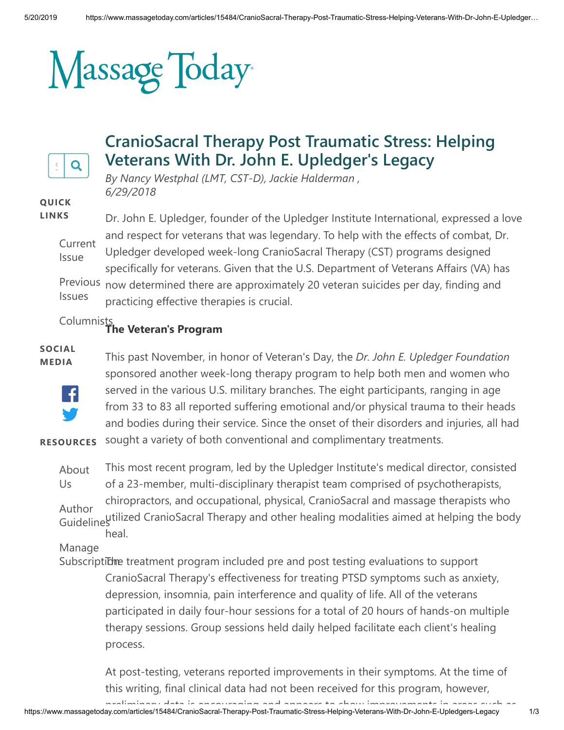# Massage Today



# **CranioSacral Therapy Post Traumatic Stress: Helping Veterans With Dr. John E. Upledger's Legacy**

*By Nancy Westphal (LMT, CST-D), Jackie Halderman , 6/29/2018*

#### **QUICK LINKS**

[Current](https://www.massagetoday.com/current-issue) Issue [Previous](https://www.massagetoday.com/issues) now determined there are approximately 20 veteran suicides per day, finding and Issues Dr. John E. Upledger, founder of the Upledger Institute International, expressed a love and respect for veterans that was legendary. To help with the effects of combat, Dr. Upledger developed week-long CranioSacral Therapy (CST) programs designed specifically for veterans. Given that the U.S. Department of Veterans Affairs (VA) has practicing effective therapies is crucial.

#### [Columnists](https://www.massagetoday.com/columnists) **The Veteran's Program**

#### **SOCIAL MEDIA**



This past November, in honor of Veteran's Day, the *Dr. John E. Upledger Foundation* sponsored another week-long therapy program to help both men and women who served in the various U.S. military branches. The eight participants, ranging in age from 33 to 83 all reported suffering emotional and/or physical trauma to their heads and bodies during their service. Since the onset of their disorders and injuries, all had sought a variety of both conventional and complimentary treatments.

**RESOURCES**

[About](https://www.massagetoday.com/about-us) Us Author [Guidelines](https://www.massagetoday.com/author-guidelines) utilized CranioSacral Therapy and other healing modalities aimed at helping the body This most recent program, led by the Upledger Institute's medical director, consisted of a 23-member, multi-disciplinary therapist team comprised of psychotherapists, chiropractors, and occupational, physical, CranioSacral and massage therapists who

heal.

Manage

Subscriptidme treatment program included pre and post testing evaluations to support CranioSacral Therapy's effectiveness for treating PTSD symptoms such as anxiety, depression, insomnia, pain interference and quality of life. All of the veterans participated in daily four-hour sessions for a total of 20 hours of hands-on multiple therapy sessions. Group sessions held daily helped facilitate each client's healing process.

At post-testing, veterans reported improvements in their symptoms. At the time of this writing, final clinical data had not been received for this program, however,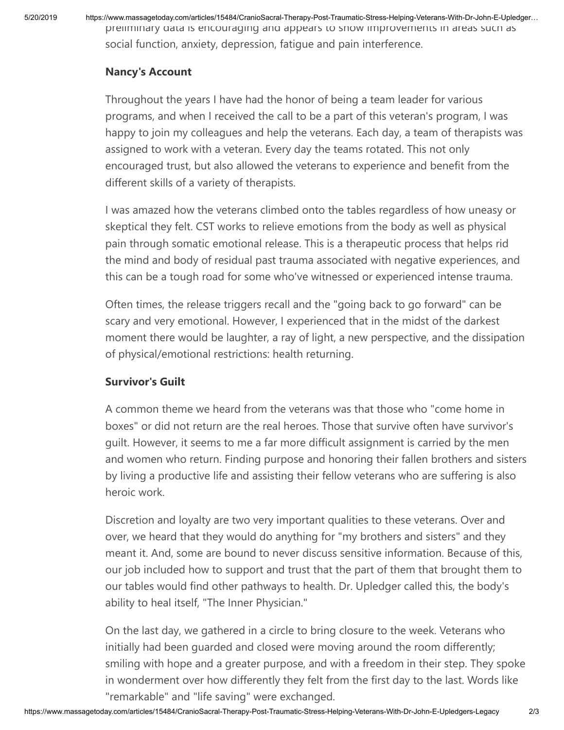5/20/2019 https://www.massagetoday.com/articles/15484/CranioSacral-Therapy-Post-Traumatic-Stress-Helping-Veterans-With-Dr-John-E-Upledger… preliminary data is encouraging and appears to show improvements in areas such as social function, anxiety, depression, fatigue and pain interference.

### **Nancy's Account**

Throughout the years I have had the honor of being a team leader for various programs, and when I received the call to be a part of this veteran's program, I was happy to join my colleagues and help the veterans. Each day, a team of therapists was assigned to work with a veteran. Every day the teams rotated. This not only encouraged trust, but also allowed the veterans to experience and benefit from the different skills of a variety of therapists.

I was amazed how the veterans climbed onto the tables regardless of how uneasy or skeptical they felt. CST works to relieve emotions from the body as well as physical pain through somatic emotional release. This is a therapeutic process that helps rid the mind and body of residual past trauma associated with negative experiences, and this can be a tough road for some who've witnessed or experienced intense trauma.

Often times, the release triggers recall and the "going back to go forward" can be scary and very emotional. However, I experienced that in the midst of the darkest moment there would be laughter, a ray of light, a new perspective, and the dissipation of physical/emotional restrictions: health returning.

## **Survivor's Guilt**

A common theme we heard from the veterans was that those who "come home in boxes" or did not return are the real heroes. Those that survive often have survivor's guilt. However, it seems to me a far more difficult assignment is carried by the men and women who return. Finding purpose and honoring their fallen brothers and sisters by living a productive life and assisting their fellow veterans who are suffering is also heroic work.

Discretion and loyalty are two very important qualities to these veterans. Over and over, we heard that they would do anything for "my brothers and sisters" and they meant it. And, some are bound to never discuss sensitive information. Because of this, our job included how to support and trust that the part of them that brought them to our tables would find other pathways to health. Dr. Upledger called this, the body's ability to heal itself, "The Inner Physician."

On the last day, we gathered in a circle to bring closure to the week. Veterans who initially had been guarded and closed were moving around the room differently; smiling with hope and a greater purpose, and with a freedom in their step. They spoke in wonderment over how differently they felt from the first day to the last. Words like "remarkable" and "life saving" were exchanged.